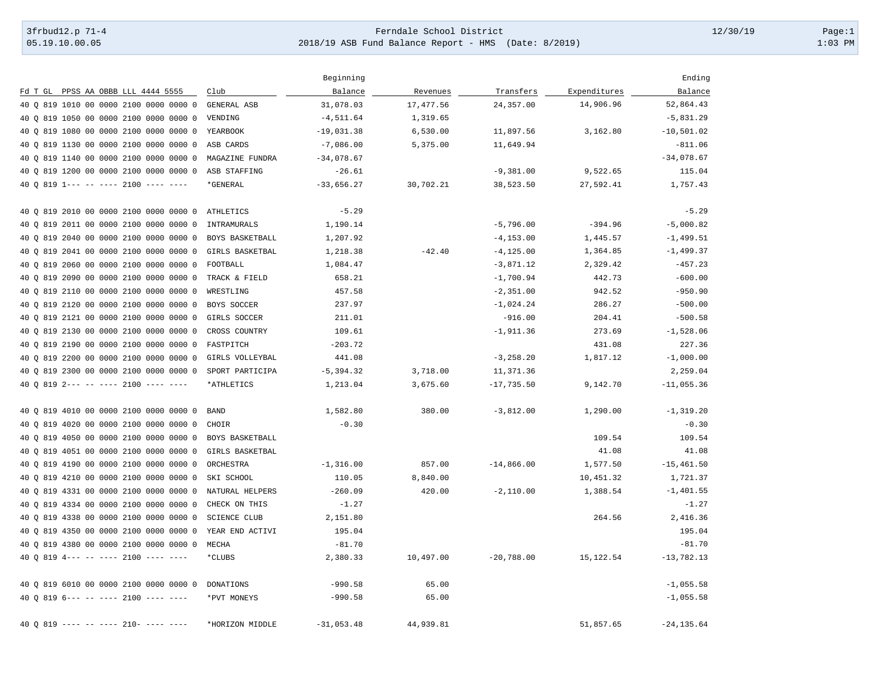## 3frbud12.p 71-4 Page:1 [05.19.10.00.05](https://05.19.10.00.05) 2018/19 ASB Fund Balance Report - HMS (Date: 8/2019) 1:03 PM

|                                                      |                     | Beginning    |           |              |              | Ending        |
|------------------------------------------------------|---------------------|--------------|-----------|--------------|--------------|---------------|
| Fd T GL PPSS AA OBBB LLL 4444 5555                   | Club                | Balance      | Revenues  | Transfers    | Expenditures | Balance       |
| 40 0 819 1010 00 0000 2100 0000 0000 0               | GENERAL ASB         | 31,078.03    | 17,477.56 | 24,357.00    | 14,906.96    | 52,864.43     |
| 40 0 819 1050 00 0000 2100 0000 0000 0               | VENDING             | $-4, 511.64$ | 1,319.65  |              |              | $-5,831.29$   |
| 819 1080 00 0000 2100 0000 0000 0<br>40 O            | YEARBOOK            | $-19,031.38$ | 6,530.00  | 11,897.56    | 3,162.80     | $-10,501.02$  |
| 40 0 819 1130 00 0000 2100 0000 0000 0               | ASB CARDS           | $-7,086.00$  | 5,375.00  | 11,649.94    |              | $-811.06$     |
| 40 0 819 1140 00 0000 2100 0000 0000 0               | MAGAZINE FUNDRA     | $-34,078.67$ |           |              |              | $-34,078.67$  |
| 40 0 819 1200 00 0000 2100 0000 0000 0               | ASB STAFFING        | $-26.61$     |           | $-9,381.00$  | 9,522.65     | 115.04        |
| 40 Q 819 1--- -- ---- 2100 ---- ----                 | *GENERAL            | $-33,656.27$ | 30,702.21 | 38,523.50    | 27,592.41    | 1,757.43      |
| 40 Q 819 2010 00 0000 2100 0000 0000 0               | <b>ATHLETICS</b>    | $-5.29$      |           |              |              | $-5.29$       |
| 40 0 819 2011 00 0000 2100 0000 0000 0               | INTRAMURALS         | 1,190.14     |           | $-5,796.00$  | $-394.96$    | $-5,000.82$   |
| 40 0 819 2040 00 0000 2100 0000 0000 0               | BOYS BASKETBALL     | 1,207.92     |           | $-4, 153.00$ | 1,445.57     | $-1,499.51$   |
| 819 2041 00 0000 2100 0000 0000 0<br>40 O            | GIRLS BASKETBAL     | 1,218.38     | $-42.40$  | $-4, 125.00$ | 1,364.85     | $-1.499.37$   |
| 819 2060 00 0000 2100 0000 0000 0<br>40 <sub>o</sub> | FOOTBALL            | 1,084.47     |           | $-3,871.12$  | 2,329.42     | $-457.23$     |
| 40 0 819 2090 00 0000 2100 0000 0000 0               | TRACK & FIELD       | 658.21       |           | $-1,700.94$  | 442.73       | $-600.00$     |
| 40 0 819 2110 00 0000 2100 0000 0000 0               | WRESTLING           | 457.58       |           | $-2,351.00$  | 942.52       | $-950.90$     |
| 40 Q 819 2120 00 0000 2100 0000 0000 0               | BOYS SOCCER         | 237.97       |           | $-1,024.24$  | 286.27       | $-500.00$     |
| 819 2121 00 0000 2100 0000 0000 0<br>40 O            | GIRLS SOCCER        | 211.01       |           | $-916.00$    | 204.41       | $-500.58$     |
| 819 2130 00 0000 2100 0000 0000 0<br>40 O            | CROSS COUNTRY       | 109.61       |           | $-1,911.36$  | 273.69       | $-1,528.06$   |
| 40 Q 819 2190 00 0000 2100 0000 0000 0               | FASTPITCH           | $-203.72$    |           |              | 431.08       | 227.36        |
| 40 0 819 2200 00 0000 2100 0000 0000 0               | GIRLS VOLLEYBAL     | 441.08       |           | $-3, 258.20$ | 1,817.12     | $-1,000.00$   |
| 40 0 819 2300 00 0000 2100 0000 0000 0               | SPORT PARTICIPA     | $-5,394.32$  | 3,718.00  | 11,371.36    |              | 2,259.04      |
| 40 0 819 2--- -- ---- 2100 ---- ----                 | *ATHLETICS          | 1,213.04     | 3,675.60  | $-17,735.50$ | 9,142.70     | $-11,055.36$  |
| 40 0 819 4010 00 0000 2100 0000 0000 0               | <b>BAND</b>         | 1,582.80     | 380.00    | $-3,812.00$  | 1,290.00     | $-1, 319.20$  |
| 40 0 819 4020 00 0000 2100 0000 0000 0               | CHOIR               | $-0.30$      |           |              |              | $-0.30$       |
| 40 Q 819 4050 00 0000 2100 0000 0000 0               | BOYS BASKETBALL     |              |           |              | 109.54       | 109.54        |
| 819 4051 00 0000 2100 0000 0000 0<br>40 O            | GIRLS BASKETBAL     |              |           |              | 41.08        | 41.08         |
| 819 4190 00 0000 2100 0000 0000 0<br>40 O            | ORCHESTRA           | $-1,316.00$  | 857.00    | $-14,866.00$ | 1,577.50     | $-15, 461.50$ |
| 40 Q 819 4210 00 0000 2100 0000 0000 0               | SKI SCHOOL          | 110.05       | 8,840.00  |              | 10,451.32    | 1,721.37      |
| 40 0 819 4331 00 0000 2100 0000 0000 0               | NATURAL HELPERS     | $-260.09$    | 420.00    | $-2,110.00$  | 1,388.54     | $-1, 401.55$  |
| 40 0 819 4334 00 0000 2100 0000 0000 0               | CHECK ON THIS       | $-1.27$      |           |              |              | $-1.27$       |
| 819 4338 00 0000 2100 0000 0000 0<br>40 O            | <b>SCIENCE CLUB</b> | 2,151.80     |           |              | 264.56       | 2,416.36      |
| 40 Q 819 4350 00 0000 2100 0000 0000 0               | YEAR END ACTIVI     | 195.04       |           |              |              | 195.04        |
| 40 0 819 4380 00 0000 2100 0000 0000 0               | MECHA               | $-81.70$     |           |              |              | $-81.70$      |
| 40 0 819 4--- -- ---- 2100 ---- ----                 | *CLUBS              | 2,380.33     | 10,497.00 | $-20,788.00$ | 15,122.54    | $-13,782.13$  |
| 40 0 819 6010 00 0000 2100 0000 0000 0               | DONATIONS           | $-990.58$    | 65.00     |              |              | $-1,055.58$   |
| 40 0 819 6--- -- ---- 2100 ---- ----                 | *PVT MONEYS         | $-990.58$    | 65.00     |              |              | $-1,055.58$   |
| 40 0 819 ---- -- ---- 210- ---- ----                 | *HORIZON MIDDLE     | $-31,053.48$ | 44,939.81 |              | 51,857.65    | $-24, 135.64$ |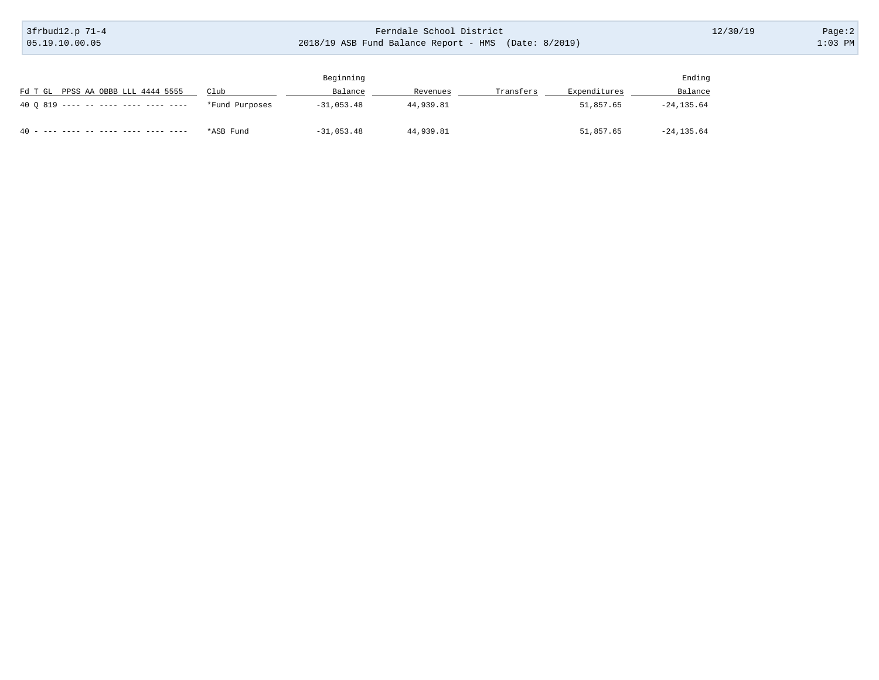3frbud12.p 71-4 05.19.10.00.05

## Ferndale School District 2018/19 ASB Fund Balance Report - HMS (Date: 8/2019)

12/30/19 Page:2

|                                            |                | Beginning    |           |           |              | Ending        |
|--------------------------------------------|----------------|--------------|-----------|-----------|--------------|---------------|
| Fd T GL PPSS AA OBBB LLL 4444 5555         | Club           | Balance      | Revenues  | Transfers | Expenditures | Balance       |
| 40 0 819 ---- -- ---- ---- ---- ----       | *Fund Purposes | $-31,053,48$ | 44,939.81 |           | 51,857.65    | $-24, 135.64$ |
| $40 -$<br>---- ---- -- ---- ---- ---- ---- | *ASB Fund      | $-31,053.48$ | 44,939.81 |           | 51,857.65    | $-24, 135.64$ |